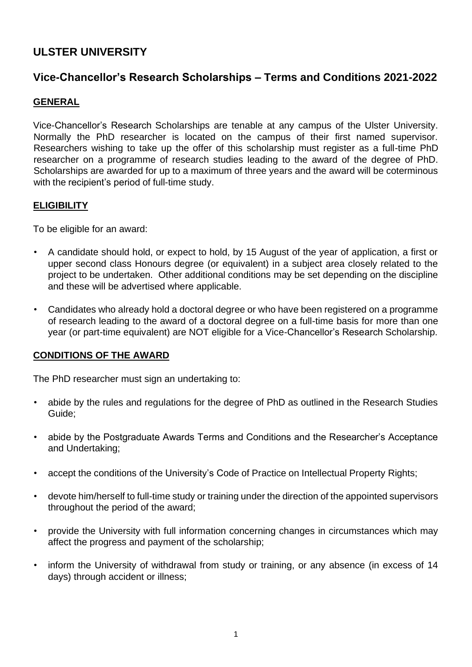# **ULSTER UNIVERSITY**

# **Vice-Chancellor's Research Scholarships – Terms and Conditions 2021-2022**

## **GENERAL**

Vice-Chancellor's Research Scholarships are tenable at any campus of the Ulster University. Normally the PhD researcher is located on the campus of their first named supervisor. Researchers wishing to take up the offer of this scholarship must register as a full-time PhD researcher on a programme of research studies leading to the award of the degree of PhD. Scholarships are awarded for up to a maximum of three years and the award will be coterminous with the recipient's period of full-time study.

## **ELIGIBILITY**

To be eligible for an award:

- A candidate should hold, or expect to hold, by 15 August of the year of application, a first or upper second class Honours degree (or equivalent) in a subject area closely related to the project to be undertaken. Other additional conditions may be set depending on the discipline and these will be advertised where applicable.
- Candidates who already hold a doctoral degree or who have been registered on a programme of research leading to the award of a doctoral degree on a full-time basis for more than one year (or part-time equivalent) are NOT eligible for a Vice-Chancellor's Research Scholarship.

## **CONDITIONS OF THE AWARD**

The PhD researcher must sign an undertaking to:

- abide by the rules and regulations for the degree of PhD as outlined in the Research Studies Guide;
- abide by the Postgraduate Awards Terms and Conditions and the Researcher's Acceptance and Undertaking;
- accept the conditions of the University's Code of Practice on Intellectual Property Rights;
- devote him/herself to full-time study or training under the direction of the appointed supervisors throughout the period of the award;
- provide the University with full information concerning changes in circumstances which may affect the progress and payment of the scholarship;
- inform the University of withdrawal from study or training, or any absence (in excess of 14 days) through accident or illness;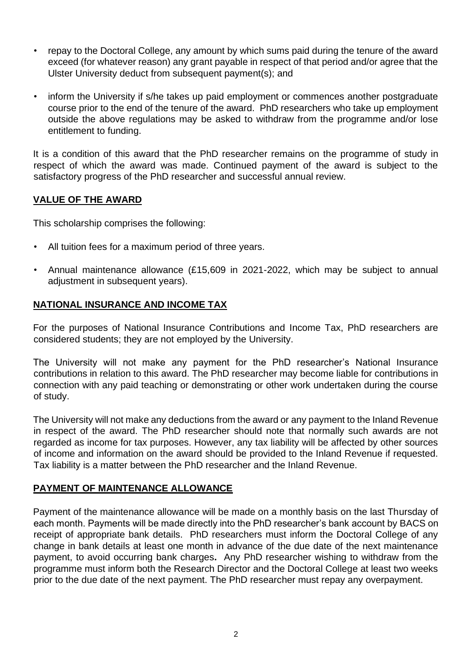- repay to the Doctoral College, any amount by which sums paid during the tenure of the award exceed (for whatever reason) any grant payable in respect of that period and/or agree that the Ulster University deduct from subsequent payment(s); and
- inform the University if s/he takes up paid employment or commences another postgraduate course prior to the end of the tenure of the award. PhD researchers who take up employment outside the above regulations may be asked to withdraw from the programme and/or lose entitlement to funding.

It is a condition of this award that the PhD researcher remains on the programme of study in respect of which the award was made. Continued payment of the award is subject to the satisfactory progress of the PhD researcher and successful annual review.

## **VALUE OF THE AWARD**

This scholarship comprises the following:

- All tuition fees for a maximum period of three years.
- Annual maintenance allowance (£15,609 in 2021-2022, which may be subject to annual adjustment in subsequent years).

## **NATIONAL INSURANCE AND INCOME TAX**

For the purposes of National Insurance Contributions and Income Tax, PhD researchers are considered students; they are not employed by the University.

The University will not make any payment for the PhD researcher's National Insurance contributions in relation to this award. The PhD researcher may become liable for contributions in connection with any paid teaching or demonstrating or other work undertaken during the course of study.

The University will not make any deductions from the award or any payment to the Inland Revenue in respect of the award. The PhD researcher should note that normally such awards are not regarded as income for tax purposes. However, any tax liability will be affected by other sources of income and information on the award should be provided to the Inland Revenue if requested. Tax liability is a matter between the PhD researcher and the Inland Revenue.

## **PAYMENT OF MAINTENANCE ALLOWANCE**

Payment of the maintenance allowance will be made on a monthly basis on the last Thursday of each month. Payments will be made directly into the PhD researcher's bank account by BACS on receipt of appropriate bank details. PhD researchers must inform the Doctoral College of any change in bank details at least one month in advance of the due date of the next maintenance payment, to avoid occurring bank charges**.** Any PhD researcher wishing to withdraw from the programme must inform both the Research Director and the Doctoral College at least two weeks prior to the due date of the next payment. The PhD researcher must repay any overpayment.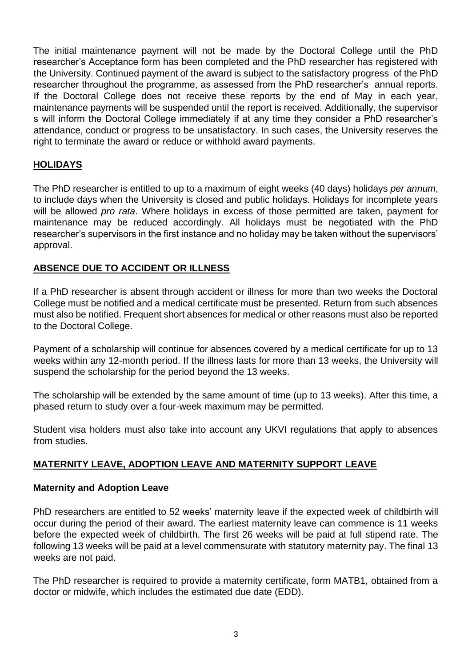The initial maintenance payment will not be made by the Doctoral College until the PhD researcher's Acceptance form has been completed and the PhD researcher has registered with the University. Continued payment of the award is subject to the satisfactory progress of the PhD researcher throughout the programme, as assessed from the PhD researcher's annual reports. If the Doctoral College does not receive these reports by the end of May in each year, maintenance payments will be suspended until the report is received. Additionally, the supervisor s will inform the Doctoral College immediately if at any time they consider a PhD researcher's attendance, conduct or progress to be unsatisfactory. In such cases, the University reserves the right to terminate the award or reduce or withhold award payments.

# **HOLIDAYS**

The PhD researcher is entitled to up to a maximum of eight weeks (40 days) holidays *per annum*, to include days when the University is closed and public holidays. Holidays for incomplete years will be allowed *pro rata*. Where holidays in excess of those permitted are taken, payment for maintenance may be reduced accordingly. All holidays must be negotiated with the PhD researcher's supervisors in the first instance and no holiday may be taken without the supervisors' approval.

## **ABSENCE DUE TO ACCIDENT OR ILLNESS**

If a PhD researcher is absent through accident or illness for more than two weeks the Doctoral College must be notified and a medical certificate must be presented. Return from such absences must also be notified. Frequent short absences for medical or other reasons must also be reported to the Doctoral College.

Payment of a scholarship will continue for absences covered by a medical certificate for up to 13 weeks within any 12-month period. If the illness lasts for more than 13 weeks, the University will suspend the scholarship for the period beyond the 13 weeks.

The scholarship will be extended by the same amount of time (up to 13 weeks). After this time, a phased return to study over a four-week maximum may be permitted.

Student visa holders must also take into account any UKVI regulations that apply to absences from studies.

## **MATERNITY LEAVE, ADOPTION LEAVE AND MATERNITY SUPPORT LEAVE**

#### **Maternity and Adoption Leave**

PhD researchers are entitled to 52 weeks' maternity leave if the expected week of childbirth will occur during the period of their award. The earliest maternity leave can commence is 11 weeks before the expected week of childbirth. The first 26 weeks will be paid at full stipend rate. The following 13 weeks will be paid at a level commensurate with statutory maternity pay. The final 13 weeks are not paid.

The PhD researcher is required to provide a maternity certificate, form MATB1, obtained from a doctor or midwife, which includes the estimated due date (EDD).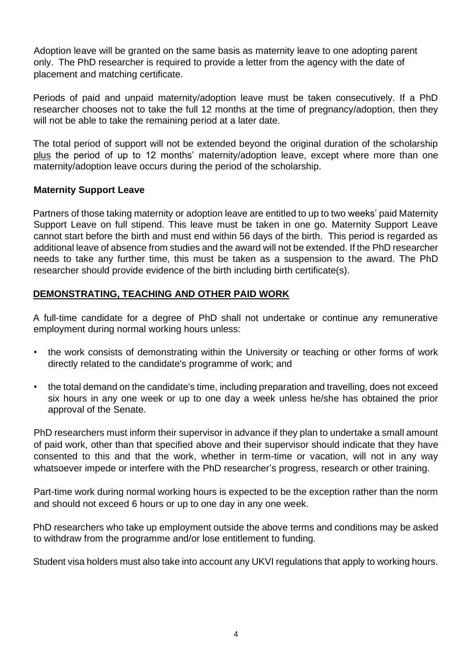Adoption leave will be granted on the same basis as maternity leave to one adopting parent only. The PhD researcher is required to provide a letter from the agency with the date of placement and matching certificate.

Periods of paid and unpaid maternity/adoption leave must be taken consecutively. If a PhD researcher chooses not to take the full 12 months at the time of pregnancy/adoption, then they will not be able to take the remaining period at a later date.

The total period of support will not be extended beyond the original duration of the scholarship plus the period of up to 12 months' maternity/adoption leave, except where more than one maternity/adoption leave occurs during the period of the scholarship.

## **Maternity Support Leave**

Partners of those taking maternity or adoption leave are entitled to up to two weeks' paid Maternity Support Leave on full stipend. This leave must be taken in one go. Maternity Support Leave cannot start before the birth and must end within 56 days of the birth. This period is regarded as additional leave of absence from studies and the award will not be extended. If the PhD researcher needs to take any further time, this must be taken as a suspension to the award. The PhD researcher should provide evidence of the birth including birth certificate(s).

## **DEMONSTRATING, TEACHING AND OTHER PAID WORK**

A full-time candidate for a degree of PhD shall not undertake or continue any remunerative employment during normal working hours unless:

- the work consists of demonstrating within the University or teaching or other forms of work directly related to the candidate's programme of work; and
- the total demand on the candidate's time, including preparation and travelling, does not exceed six hours in any one week or up to one day a week unless he/she has obtained the prior approval of the Senate.

PhD researchers must inform their supervisor in advance if they plan to undertake a small amount of paid work, other than that specified above and their supervisor should indicate that they have consented to this and that the work, whether in term-time or vacation, will not in any way whatsoever impede or interfere with the PhD researcher's progress, research or other training.

Part-time work during normal working hours is expected to be the exception rather than the norm and should not exceed 6 hours or up to one day in any one week.

PhD researchers who take up employment outside the above terms and conditions may be asked to withdraw from the programme and/or lose entitlement to funding.

Student visa holders must also take into account any UKVI regulations that apply to working hours.